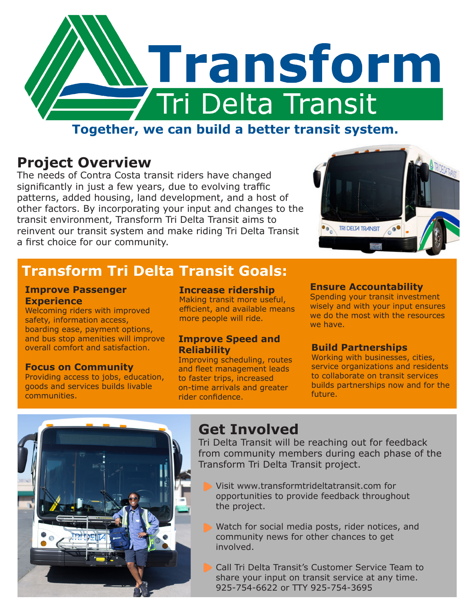

## **Together, we can build a better transit system.**

### **Project Overview**

The needs of Contra Costa transit riders have changed significantly in just a few years, due to evolving traffic patterns, added housing, land development, and a host of other factors. By incorporating your input and changes to the transit environment, Transform Tri Delta Transit aims to reinvent our transit system and make riding Tri Delta Transit a first choice for our community.



## **Transform Tri Delta Transit Goals:**

#### **Improve Passenger Experience**

Welcoming riders with improved safety, information access, boarding ease, payment options, and bus stop amenities will improve overall comfort and satisfaction.

#### **Focus on Community**

Providing access to jobs, education, goods and services builds livable communities.

#### **Increase ridership**

Making transit more useful, efficient, and available means more people will ride.

#### **Improve Speed and Reliability**

Improving scheduling, routes and fleet management leads to faster trips, increased on-time arrivals and greater rider confidence.

#### **Ensure Accountability**

Spending your transit investment wisely and with your input ensures we do the most with the resources we have.

#### **Build Partnerships**

Working with businesses, cities, service organizations and residents to collaborate on transit services builds partnerships now and for the future.



## **Get Involved**

Tri Delta Transit will be reaching out for feedback from community members during each phase of the Transform Tri Delta Transit project.

- Visit www.transformtrideltatransit.com for opportunities to provide feedback throughout the project.
- Watch for social media posts, rider notices, and community news for other chances to get involved.
- Call Tri Delta Transit's Customer Service Team to share your input on transit service at any time. 925-754-6622 or TTY 925-754-3695